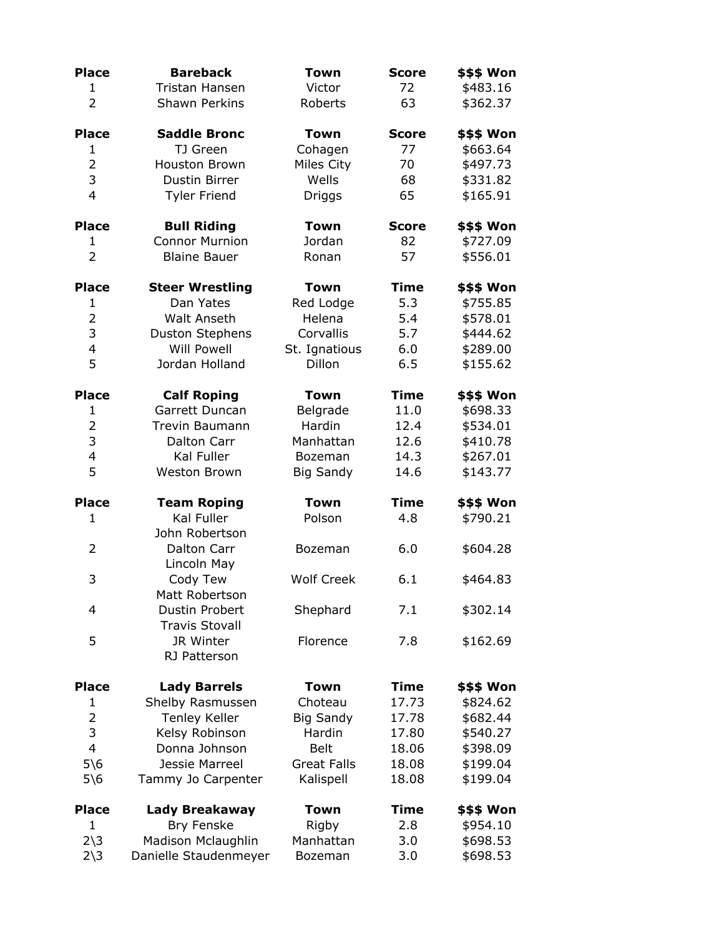| <b>Place</b>           | <b>Bareback</b>              | <b>Town</b>        | <b>Score</b> | \$\$\$ Won |  |
|------------------------|------------------------------|--------------------|--------------|------------|--|
| 1                      | Tristan Hansen               | Victor             | 72           | \$483.16   |  |
| $\overline{2}$         | <b>Shawn Perkins</b>         | Roberts            | 63           | \$362.37   |  |
| <b>Place</b>           | <b>Saddle Bronc</b>          | <b>Town</b>        | <b>Score</b> | \$\$\$ Won |  |
| 1                      | TJ Green                     | Cohagen            | 77           | \$663.64   |  |
| $\overline{2}$         | <b>Houston Brown</b>         | Miles City         | 70           | \$497.73   |  |
| 3                      | Dustin Birrer                | Wells              | 68           | \$331.82   |  |
| $\overline{4}$         | <b>Tyler Friend</b>          | <b>Driggs</b>      | 65           | \$165.91   |  |
| <b>Place</b>           | <b>Bull Riding</b>           | <b>Town</b>        | <b>Score</b> | \$\$\$ Won |  |
| 1                      | <b>Connor Murnion</b>        | Jordan             | 82           | \$727.09   |  |
| $\overline{2}$         | <b>Blaine Bauer</b>          | Ronan              | 57           | \$556.01   |  |
| <b>Place</b>           | <b>Steer Wrestling</b>       | Town               | <b>Time</b>  | \$\$\$ Won |  |
| $\mathbf{1}$           | Dan Yates                    | Red Lodge          | 5.3          | \$755.85   |  |
| $\overline{2}$         | <b>Walt Anseth</b>           | Helena             | 5.4          | \$578.01   |  |
| 3                      | <b>Duston Stephens</b>       | Corvallis          | 5.7          | \$444.62   |  |
| $\overline{4}$         | <b>Will Powell</b>           | St. Ignatious      | 6.0          | \$289.00   |  |
| 5                      | Jordan Holland               | Dillon             | 6.5          | \$155.62   |  |
| <b>Place</b>           | <b>Calf Roping</b>           | Town               | <b>Time</b>  | \$\$\$ Won |  |
| 1                      | Garrett Duncan               | Belgrade           | 11.0         | \$698.33   |  |
| $\overline{2}$         | <b>Trevin Baumann</b>        | Hardin             | 12.4         | \$534.01   |  |
| 3                      | Dalton Carr                  | Manhattan          | 12.6         | \$410.78   |  |
| $\overline{4}$         | Kal Fuller                   | <b>Bozeman</b>     | 14.3         | \$267.01   |  |
| 5                      | Weston Brown                 | <b>Big Sandy</b>   | 14.6         | \$143.77   |  |
| <b>Place</b>           | <b>Team Roping</b>           | <b>Town</b>        | <b>Time</b>  | \$\$\$ Won |  |
| 1                      | Kal Fuller<br>John Robertson | Polson             | 4.8          | \$790.21   |  |
| 2                      | Dalton Carr                  | Bozeman            | 6.0          | \$604.28   |  |
|                        | Lincoln May                  |                    |              |            |  |
| 3                      | Cody Tew                     | <b>Wolf Creek</b>  | 6.1          | \$464.83   |  |
|                        | Matt Robertson               |                    |              |            |  |
| 4                      | Dustin Probert               | Shephard           | 7.1          | \$302.14   |  |
|                        | <b>Travis Stovall</b>        |                    |              |            |  |
| 5                      | JR Winter<br>RJ Patterson    | Florence           | 7.8          | \$162.69   |  |
|                        |                              |                    |              |            |  |
| <b>Place</b>           | <b>Lady Barrels</b>          | <b>Town</b>        | <b>Time</b>  | \$\$\$ Won |  |
| 1                      | Shelby Rasmussen             | Choteau            | 17.73        | \$824.62   |  |
| $\overline{2}$         | <b>Tenley Keller</b>         | <b>Big Sandy</b>   | 17.78        | \$682.44   |  |
| 3                      | Kelsy Robinson               | Hardin             | 17.80        | \$540.27   |  |
| $\overline{4}$         | Donna Johnson                | <b>Belt</b>        | 18.06        | \$398.09   |  |
| $5\$ 6                 | Jessie Marreel               | <b>Great Falls</b> | 18.08        | \$199.04   |  |
| $5\$ 6                 | Tammy Jo Carpenter           | Kalispell          | 18.08        | \$199.04   |  |
| <b>Place</b>           | Lady Breakaway               | Town               | <b>Time</b>  | \$\$\$ Won |  |
| 1                      | Bry Fenske                   | Rigby              | 2.8          | \$954.10   |  |
| $2\overline{\smash)3}$ | Madison Mclaughlin           | Manhattan          | 3.0          | \$698.53   |  |
| $2\overline{\smash)3}$ | Danielle Staudenmeyer        | Bozeman            | 3.0          | \$698.53   |  |